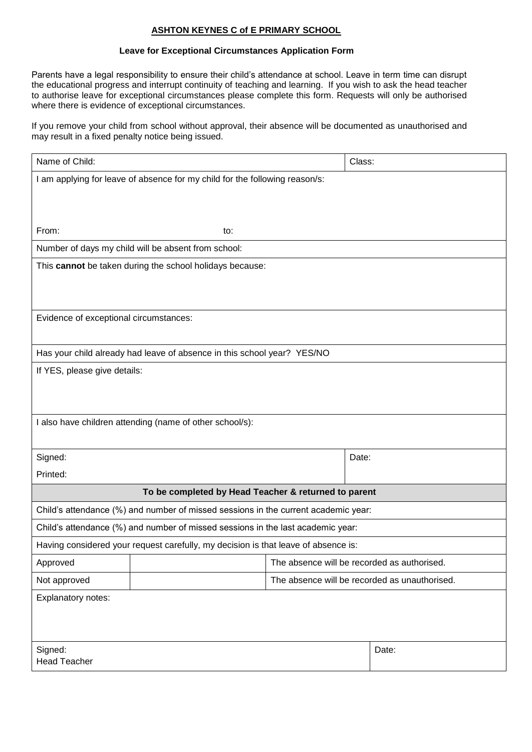## **ASHTON KEYNES C of E PRIMARY SCHOOL**

## **Leave for Exceptional Circumstances Application Form**

Parents have a legal responsibility to ensure their child's attendance at school. Leave in term time can disrupt the educational progress and interrupt continuity of teaching and learning. If you wish to ask the head teacher to authorise leave for exceptional circumstances please complete this form. Requests will only be authorised where there is evidence of exceptional circumstances.

If you remove your child from school without approval, their absence will be documented as unauthorised and may result in a fixed penalty notice being issued.

| Name of Child:                                                                     |                                               |  | Class:                                      |
|------------------------------------------------------------------------------------|-----------------------------------------------|--|---------------------------------------------|
| I am applying for leave of absence for my child for the following reason/s:        |                                               |  |                                             |
|                                                                                    |                                               |  |                                             |
|                                                                                    |                                               |  |                                             |
| From:                                                                              | to:                                           |  |                                             |
| Number of days my child will be absent from school:                                |                                               |  |                                             |
| This cannot be taken during the school holidays because:                           |                                               |  |                                             |
|                                                                                    |                                               |  |                                             |
|                                                                                    |                                               |  |                                             |
| Evidence of exceptional circumstances:                                             |                                               |  |                                             |
|                                                                                    |                                               |  |                                             |
| Has your child already had leave of absence in this school year? YES/NO            |                                               |  |                                             |
| If YES, please give details:                                                       |                                               |  |                                             |
|                                                                                    |                                               |  |                                             |
|                                                                                    |                                               |  |                                             |
| I also have children attending (name of other school/s):                           |                                               |  |                                             |
|                                                                                    |                                               |  |                                             |
| Signed:                                                                            |                                               |  | Date:                                       |
| Printed:                                                                           |                                               |  |                                             |
| To be completed by Head Teacher & returned to parent                               |                                               |  |                                             |
| Child's attendance (%) and number of missed sessions in the current academic year: |                                               |  |                                             |
| Child's attendance (%) and number of missed sessions in the last academic year:    |                                               |  |                                             |
| Having considered your request carefully, my decision is that leave of absence is: |                                               |  |                                             |
| Approved                                                                           |                                               |  | The absence will be recorded as authorised. |
| Not approved                                                                       | The absence will be recorded as unauthorised. |  |                                             |
| Explanatory notes:                                                                 |                                               |  |                                             |
|                                                                                    |                                               |  |                                             |
|                                                                                    |                                               |  |                                             |
| Signed:                                                                            |                                               |  | Date:                                       |
| <b>Head Teacher</b>                                                                |                                               |  |                                             |